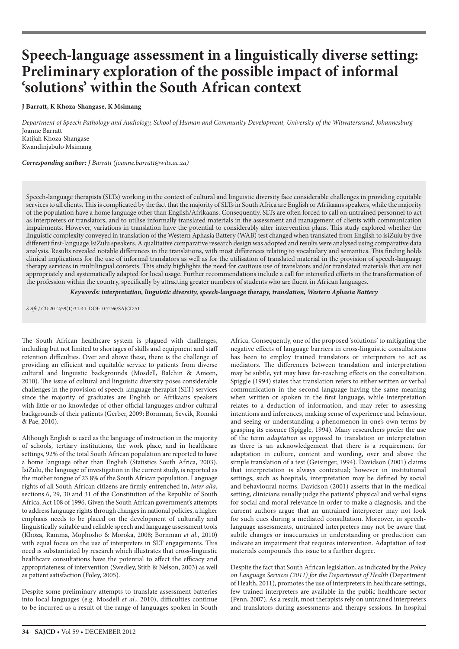# **Speech-language assessment in a linguistically diverse setting: Preliminary exploration of the possible impact of informal 'solutions' within the South African context**

**J Barratt, K Khoza-Shangase, K Msimang** 

*Department of Speech Pathology and Audiology, School of Human and Community Development, University of the Witwatersrand, Johannesburg*  Joanne Barratt Katijah Khoza-Shangase Kwandinjabulo Msimang

*Corresponding author: J Barratt (joanne.barratt@wits.ac.za)*

Speech-language therapists (SLTs) working in the context of cultural and linguistic diversity face considerable challenges in providing equitable services to all clients. This is complicated by the fact that the majority of SLTs in South Africa are English or Afrikaans speakers, while the majority of the population have a home language other than English/Afrikaans. Consequently, SLTs are often forced to call on untrained personnel to act as interpreters or translators, and to utilise informally translated materials in the assessment and management of clients with communication impairments. However, variations in translation have the potential to considerably alter intervention plans. This study explored whether the linguistic complexity conveyed in translation of the Western Aphasia Battery (WAB) test changed when translated from English to isiZulu by five different first-language IsiZulu speakers. A qualitative comparative research design was adopted and results were analysed using comparative data analysis. Results revealed notable differences in the translations, with most differences relating to vocabulary and semantics. This finding holds clinical implications for the use of informal translators as well as for the utilisation of translated material in the provision of speech-language therapy services in multilingual contexts. This study highlights the need for cautious use of translators and/or translated materials that are not appropriately and systematically adapted for local usage. Further recommendations include a call for intensified efforts in the transformation of the profession within the country, specifically by attracting greater numbers of students who are fluent in African languages.

*Keywords: interpretation, linguistic diversity, speech-language therapy, translation, Western Aphasia Battery*

*S Afr J CD* 2012;59(1):34-44. DOI:10.7196/SAJCD.51

The South African healthcare system is plagued with challenges, including but not limited to shortages of skills and equipment and staff retention difficulties. Over and above these, there is the challenge of providing an efficient and equitable service to patients from diverse cultural and linguistic backgrounds (Mosdell, Balchin & Ameen, 2010). The issue of cultural and linguistic diversity poses considerable challenges in the provision of speech-language therapist (SLT) services since the majority of graduates are English or Afrikaans speakers with little or no knowledge of other official languages and/or cultural backgrounds of their patients (Gerber, 2009; Bornman, Sevcik, Romski & Pae, 2010).

Although English is used as the language of instruction in the majority of schools, tertiary institutions, the work place, and in healthcare settings, 92% of the total South African population are reported to have a home language other than English (Statistics South Africa, 2003). IsiZulu, the language of investigation in the current study, is reported as the mother tongue of 23.8% of the South African population. Language rights of all South African citizens are firmly entrenched in, *inter alia*, sections 6, 29, 30 and 31 of the Constitution of the Republic of South Africa, Act 108 of 1996. Given the South African government's attempts to address language rights through changes in national policies, a higher emphasis needs to be placed on the development of culturally and linguistically suitable and reliable speech and language assessment tools (Khoza, Ramma, Mophosho & Moroka, 2008; Bornman *et al*., 2010) with equal focus on the use of interpreters in SLT engagements. This need is substantiated by research which illustrates that cross-linguistic healthcare consultations have the potential to affect the efficacy and appropriateness of intervention (Swedley, Stith & Nelson, 2003) as well as patient satisfaction (Foley, 2005).

Despite some preliminary attempts to translate assessment batteries into local languages (e.g. Mosdell *et al*., 2010), difficulties continue to be incurred as a result of the range of languages spoken in South

Africa. Consequently, one of the proposed 'solutions' to mitigating the negative effects of language barriers in cross-linguistic consultations has been to employ trained translators or interpreters to act as mediators. The differences between translation and interpretation may be subtle, yet may have far-reaching effects on the consultation. Spiggle (1994) states that translation refers to either written or verbal communication in the second language having the same meaning when written or spoken in the first language, while interpretation relates to a deduction of information, and may refer to assessing intentions and inferences, making sense of experience and behaviour, and seeing or understanding a phenomenon in one's own terms by grasping its essence (Spiggle, 1994). Many researchers prefer the use of the term *adaptation* as opposed to translation or interpretation as there is an acknowledgement that there is a requirement for adaptation in culture, content and wording, over and above the simple translation of a test (Geisinger, 1994). Davidson (2001) claims that interpretation is always contextual; however in institutional settings, such as hospitals, interpretation may be defined by social and behavioural norms. Davidson (2001) asserts that in the medical setting, clinicians usually judge the patients' physical and verbal signs for social and moral relevance in order to make a diagnosis, and the current authors argue that an untrained interpreter may not look for such cues during a mediated consultation. Moreover, in speechlanguage assessments, untrained interpreters may not be aware that subtle changes or inaccuracies in understanding or production can indicate an impairment that requires intervention. Adaptation of test materials compounds this issue to a further degree.

Despite the fact that South African legislation, as indicated by the *Policy on Language Services (2011) for the Department of Health* (Department of Health, 2011)*,* promotes the use of interpreters in healthcare settings, few trained interpreters are available in the public healthcare sector (Penn, 2007). As a result, most therapists rely on untrained interpreters and translators during assessments and therapy sessions. In hospital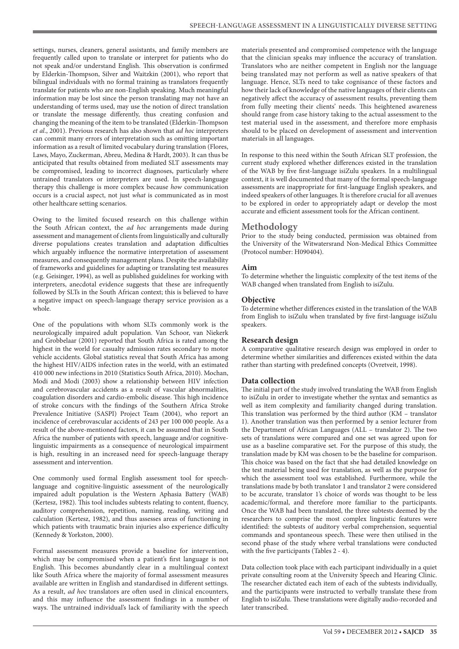settings, nurses, cleaners, general assistants, and family members are frequently called upon to translate or interpret for patients who do not speak and/or understand English. This observation is confirmed by Elderkin-Thompson, Silver and Waitzkin (2001), who report that bilingual individuals with no formal training as translators frequently translate for patients who are non-English speaking. Much meaningful information may be lost since the person translating may not have an understanding of terms used, may use the notion of direct translation or translate the message differently, thus creating confusion and changing the meaning of the item to be translated (Elderkin-Thompson *et al*., 2001). Previous research has also shown that *ad hoc* interpreters can commit many errors of interpretation such as omitting important information as a result of limited vocabulary during translation (Flores, Laws, Mayo, Zuckerman, Abreu, Medina & Hardt, 2003). It can thus be anticipated that results obtained from mediated SLT assessments may be compromised, leading to incorrect diagnoses, particularly where untrained translators or interpreters are used. In speech-language therapy this challenge is more complex because *how* communication occurs is a crucial aspect, not just *what* is communicated as in most other healthcare setting scenarios.

Owing to the limited focused research on this challenge within the South African context, the *ad hoc* arrangements made during assessment and management of clients from linguistically and culturally diverse populations creates translation and adaptation difficulties which arguably influence the normative interpretation of assessment measures, and consequently management plans. Despite the availability of frameworks and guidelines for adapting or translating test measures (e.g. Geisinger, 1994), as well as published guidelines for working with interpreters, anecdotal evidence suggests that these are infrequently followed by SLTs in the South African context; this is believed to have a negative impact on speech-language therapy service provision as a whole.

One of the populations with whom SLTs commonly work is the neurologically impaired adult population. Van Schoor, van Niekerk and Grobbelaar (2001) reported that South Africa is rated among the highest in the world for casualty admission rates secondary to motor vehicle accidents. Global statistics reveal that South Africa has among the highest HIV/AIDS infection rates in the world, with an estimated 410 000 new infections in 2010 (Statistics South Africa, 2010). Mochan, Modi and Modi (2003) show a relationship between HIV infection and cerebrovascular accidents as a result of vascular abnormalities, coagulation disorders and cardio-embolic disease. This high incidence of stroke concurs with the findings of the Southern Africa Stroke Prevalence Initiative (SASPI) Project Team (2004), who report an incidence of cerebrovascular accidents of 243 per 100 000 people. As a result of the above-mentioned factors, it can be assumed that in South Africa the number of patients with speech, language and/or cognitivelinguistic impairments as a consequence of neurological impairment is high, resulting in an increased need for speech-language therapy assessment and intervention.

One commonly used formal English assessment tool for speechlanguage and cognitive-linguistic assessment of the neurologically impaired adult population is the Western Aphasia Battery (WAB) (Kertesz, 1982). This tool includes subtests relating to content, fluency, auditory comprehension, repetition, naming, reading, writing and calculation (Kertesz, 1982), and thus assesses areas of functioning in which patients with traumatic brain injuries also experience difficulty (Kennedy & Yorkston, 2000).

Formal assessment measures provide a baseline for intervention, which may be compromised when a patient's first language is not English. This becomes abundantly clear in a multilingual context like South Africa where the majority of formal assessment measures available are written in English and standardised in different settings. As a result, *ad hoc* translators are often used in clinical encounters, and this may influence the assessment findings in a number of ways. The untrained individual's lack of familiarity with the speech

materials presented and compromised competence with the language that the clinician speaks may influence the accuracy of translation. Translators who are neither competent in English nor the language being translated may not perform as well as native speakers of that language. Hence, SLTs need to take cognisance of these factors and how their lack of knowledge of the native languages of their clients can negatively affect the accuracy of assessment results, preventing them from fully meeting their clients' needs. This heightened awareness should range from case history taking to the actual assessment to the test material used in the assessment, and therefore more emphasis should to be placed on development of assessment and intervention materials in all languages.

In response to this need within the South African SLT profession, the current study explored whether differences existed in the translation of the WAB by five first-language isiZulu speakers. In a multilingual context, it is well documented that many of the formal speech-language assessments are inappropriate for first-language English speakers, and indeed speakers of other languages. It is therefore crucial for all avenues to be explored in order to appropriately adapt or develop the most accurate and efficient assessment tools for the African continent.

#### **Methodology**

Prior to the study being conducted, permission was obtained from the University of the Witwatersrand Non-Medical Ethics Committee (Protocol number: H090404).

#### **Aim**

To determine whether the linguistic complexity of the test items of the WAB changed when translated from English to isiZulu.

#### **Objective**

To determine whether differences existed in the translation of the WAB from English to isiZulu when translated by five first-language isiZulu speakers.

#### **Research design**

A comparative qualitative research design was employed in order to determine whether similarities and differences existed within the data rather than starting with predefined concepts (Ovretveit, 1998).

#### **Data collection**

The initial part of the study involved translating the WAB from English to isiZulu in order to investigate whether the syntax and semantics as well as item complexity and familiarity changed during translation. This translation was performed by the third author (KM – translator 1). Another translation was then performed by a senior lecturer from the Department of African Languages (ALL – translator 2). The two sets of translations were compared and one set was agreed upon for use as a baseline comparative set. For the purpose of this study, the translation made by KM was chosen to be the baseline for comparison. This choice was based on the fact that she had detailed knowledge on the test material being used for translation, as well as the purpose for which the assessment tool was established. Furthermore, while the translations made by both translator 1 and translator 2 were considered to be accurate, translator 1's choice of words was thought to be less academic/formal, and therefore more familiar to the participants. Once the WAB had been translated, the three subtests deemed by the researchers to comprise the most complex linguistic features were identified: the subtests of auditory verbal comprehension, sequential commands and spontaneous speech. These were then utilised in the second phase of the study where verbal translations were conducted with the five participants (Tables 2 - 4).

Data collection took place with each participant individually in a quiet private consulting room at the University Speech and Hearing Clinic. The researcher dictated each item of each of the subtests individually, and the participants were instructed to verbally translate these from English to isiZulu. These translations were digitally audio-recorded and later transcribed.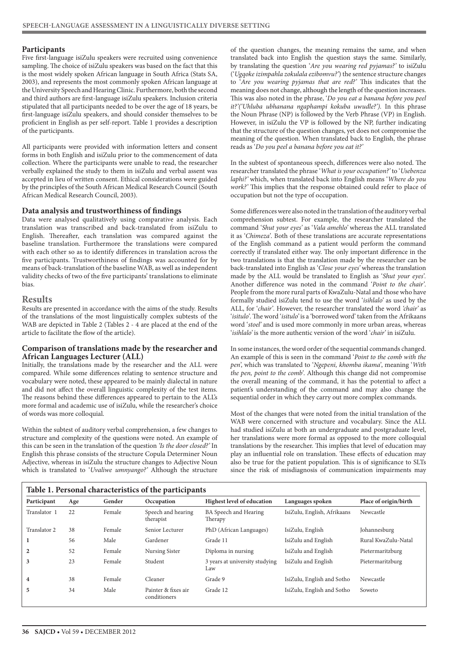#### **Participants**

Five first-language isiZulu speakers were recruited using convenience sampling. The choice of isiZulu speakers was based on the fact that this is the most widely spoken African language in South Africa (Stats SA, 2003), and represents the most commonly spoken African language at the University Speech and Hearing Clinic. Furthermore, both the second and third authors are first-language isiZulu speakers. Inclusion criteria stipulated that all participants needed to be over the age of 18 years, be first-language isiZulu speakers, and should consider themselves to be proficient in English as per self-report. Table 1 provides a description of the participants.

All participants were provided with information letters and consent forms in both English and isiZulu prior to the commencement of data collection. Where the participants were unable to read, the researcher verbally explained the study to them in isiZulu and verbal assent was accepted in lieu of written consent. Ethical considerations were guided by the principles of the South African Medical Research Council (South African Medical Research Council, 2003).

#### **Data analysis and trustworthiness of findings**

Data were analysed qualitatively using comparative analysis. Each translation was transcribed and back-translated from isiZulu to English. Thereafter, each translation was compared against the baseline translation. Furthermore the translations were compared with each other so as to identify differences in translation across the five participants. Trustworthiness of findings was accounted for by means of back-translation of the baseline WAB, as well as independent validity checks of two of the five participants' translations to eliminate bias.

#### **Results**

Results are presented in accordance with the aims of the study. Results of the translations of the most linguistically complex subtests of the WAB are depicted in Table 2 (Tables 2 - 4 are placed at the end of the article to facilitate the flow of the article).

#### **Comparison of translations made by the researcher and African Languages Lecturer (ALL)**

Initially, the translations made by the researcher and the ALL were compared. While some differences relating to sentence structure and vocabulary were noted, these appeared to be mainly dialectal in nature and did not affect the overall linguistic complexity of the test items. The reasons behind these differences appeared to pertain to the ALL's more formal and academic use of isiZulu, while the researcher's choice of words was more colloquial.

Within the subtest of auditory verbal comprehension, a few changes to structure and complexity of the questions were noted. An example of this can be seen in the translation of the question *'Is the door closed?'* In English this phrase consists of the structure Copula Determiner Noun Adjective, whereas in isiZulu the structure changes to Adjective Noun which is translated to '*Uvaliwe umnyango?'* Although the structure

of the question changes, the meaning remains the same, and when translated back into English the question stays the same. Similarly, by translating the question '*Are you wearing red pyjamas?'* to isiZulu ('*Ugqoke izimpahla zokulala ezibomvu?'*) the sentence structure changes to '*Are you wearing pyjamas that are red?'* This indicates that the meaning does not change, although the length of the question increases. This was also noted in the phrase, '*Do you eat a banana before you peel it?'('Uhluba ubhanana ngaphampi kokuba uwudle?').* In this phrase the Noun Phrase (NP) is followed by the Verb Phrase (VP) in English. However, in isiZulu the VP is followed by the NP, further indicating that the structure of the question changes, yet does not compromise the meaning of the question. When translated back to English, the phrase reads as '*Do you peel a banana before you eat it?'* 

In the subtest of spontaneous speech, differences were also noted. The researcher translated the phrase '*What is your occupation?'* to '*Usebenza laphi?'* which, when translated back into English means '*Where do you work?'* This implies that the response obtained could refer to place of occupation but not the type of occupation.

Some differences were also noted in the translation of the auditory verbal comprehension subtest. For example, the researcher translated the command '*Shut your eyes'* as '*Vala amehlo'* whereas the ALL translated it as '*Chimeza'*. Both of these translations are accurate representations of the English command as a patient would perform the command correctly if translated either way. The only important difference in the two translations is that the translation made by the researcher can be back-translated into English as '*Close your eyes'* whereas the translation made by the ALL would be translated to English as '*Shut your eyes'.*  Another difference was noted in the command '*Point to the chair'*. People from the more rural parts of KwaZulu-Natal and those who have formally studied isiZulu tend to use the word '*isihlalo'* as used by the ALL, for '*chair'*. However, the researcher translated the word *'chair'* as '*isitulo'*. The word '*isitulo'* is a 'borrowed word' taken from the Afrikaans word '*stoel'* and is used more commonly in more urban areas, whereas '*isihlalo'* is the more authentic version of the word '*chair'* in isiZulu.

In some instances, the word order of the sequential commands changed. An example of this is seen in the command '*Point to the comb with the pen*', which was translated to '*Ngepeni, khomba ikama'*, meaning '*With the pen, point to the comb'*. Although this change did not compromise the overall meaning of the command, it has the potential to affect a patient's understanding of the command and may also change the sequential order in which they carry out more complex commands.

Most of the changes that were noted from the initial translation of the WAB were concerned with structure and vocabulary. Since the ALL had studied isiZulu at both an undergraduate and postgraduate level, her translations were more formal as opposed to the more colloquial translations by the researcher. This implies that level of education may play an influential role on translation. These effects of education may also be true for the patient population. This is of significance to SLTs since the risk of misdiagnosis of communication impairments may

| Table 1. Personal characteristics of the participants |     |        |                                     |                                       |                             |                       |  |
|-------------------------------------------------------|-----|--------|-------------------------------------|---------------------------------------|-----------------------------|-----------------------|--|
| Participant                                           | Age | Gender | Occupation                          | <b>Highest level of education</b>     | Languages spoken            | Place of origin/birth |  |
| Translator 1                                          | 22  | Female | Speech and hearing<br>therapist     | BA Speech and Hearing<br>Therapy      | IsiZulu, English, Afrikaans | Newcastle             |  |
| Translator 2                                          | 38  | Female | Senior Lecturer                     | PhD (African Languages)               | IsiZulu, English            | Johannesburg          |  |
|                                                       | 56  | Male   | Gardener                            | Grade 11                              | IsiZulu and English         | Rural KwaZulu-Natal   |  |
| $\overline{2}$                                        | 52  | Female | Nursing Sister                      | Diploma in nursing                    | IsiZulu and English         | Pietermaritzburg      |  |
| 3                                                     | 23  | Female | Student                             | 3 years at university studying<br>Law | IsiZulu and English         | Pietermaritzburg      |  |
| $\overline{4}$                                        | 38  | Female | Cleaner                             | Grade 9                               | IsiZulu, English and Sotho  | Newcastle             |  |
| 5                                                     | 34  | Male   | Painter & fixes air<br>conditioners | Grade 12                              | IsiZulu, English and Sotho  | Soweto                |  |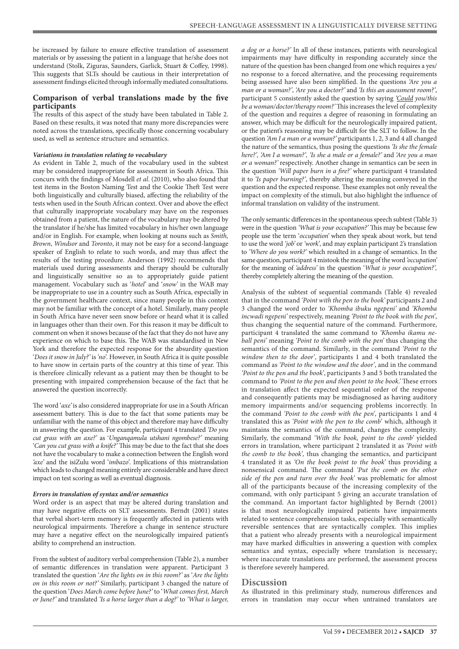be increased by failure to ensure effective translation of assessment materials or by assessing the patient in a language that he/she does not understand (Stolk, Ziguras, Saunders, Garlick, Stuart & Coffey, 1998). This suggests that SLTs should be cautious in their interpretation of assessment findings elicited through informally mediated consultations.

#### **Comparison of verbal translations made by the five participants**

The results of this aspect of the study have been tabulated in Table 2. Based on these results, it was noted that many more discrepancies were noted across the translations, specifically those concerning vocabulary used, as well as sentence structure and semantics.

#### *Variations in translation relating to vocabulary*

As evident in Table 2, much of the vocabulary used in the subtest may be considered inappropriate for assessment in South Africa. This concurs with the findings of Mosdell *et al*. (2010), who also found that test items in the Boston Naming Test and the Cookie Theft Test were both linguistically and culturally biased, affecting the reliability of the tests when used in the South African context. Over and above the effect that culturally inappropriate vocabulary may have on the responses obtained from a patient, the nature of the vocabulary may be altered by the translator if he/she has limited vocabulary in his/her own language and/or in English. For example, when looking at nouns such as *Smith, Brown*, *Windsor* and *Toronto*, it may not be easy for a second-language speaker of English to relate to such words, and may thus affect the results of the testing procedure. Anderson (1992) recommends that materials used during assessments and therapy should be culturally and linguistically sensitive so as to appropriately guide patient management. Vocabulary such as '*hotel'* and '*snow'* in the WAB may be inappropriate to use in a country such as South Africa, especially in the government healthcare context, since many people in this context may not be familiar with the concept of a hotel. Similarly, many people in South Africa have never seen snow before or heard what it is called in languages other than their own. For this reason it may be difficult to comment on when it snows because of the fact that they do not have any experience on which to base this. The WAB was standardised in New York and therefore the expected response for the absurdity question '*Does it snow in July?'* is *'no'.* However, in South Africa it is quite possible to have snow in certain parts of the country at this time of year. This is therefore clinically relevant as a patient may then be thought to be presenting with impaired comprehension because of the fact that he answered the question incorrectly.

The word '*axe'* is also considered inappropriate for use in a South African assessment battery. This is due to the fact that some patients may be unfamiliar with the name of this object and therefore may have difficulty in answering the question. For example, participant 4 translated *'Do you cut grass with an axe?'* as '*Unganqamula utshani ngombese?'* meaning '*Can you cut grass with a knife?'* This may be due to the fact that she does not have the vocabulary to make a connection between the English word *'axe'* and the isiZulu word '*imbazo'*. Implications of this mistranslation which leads to changed meaning entirely are considerable and have direct impact on test scoring as well as eventual diagnosis.

#### *Errors in translation of syntax and/or semantics*

Word order is an aspect that may be altered during translation and may have negative effects on SLT assessments. Berndt (2001) states that verbal short-term memory is frequently affected in patients with neurological impairments. Therefore a change in sentence structure may have a negative effect on the neurologically impaired patient's ability to comprehend an instruction.

From the subtest of auditory verbal comprehension (Table 2), a number of semantic differences in translation were apparent. Participant 3 translated the question '*Are the lights on in this room?'* as '*Are the lights on in this room or not?'* Similarly, participant 3 changed the nature of the question '*Does March come before June?'* to '*What comes first, March or June?'* and translated *'Is a horse larger than a dog?'* to *'What is larger,* 

*a dog or a horse?'* In all of these instances, patients with neurological impairments may have difficulty in responding accurately since the nature of the question has been changed from one which requires a yes/ no response to a forced alternative, and the processing requirements being assessed have also been simplified. In the questions *'Are you a man or a woman?'*, *'Are you a doctor?'* and *'Is this an assessment room?'*, participant 5 consistently asked the question by saying *'Could you/this be a woman/doctor/therapy room?'* This increases the level of complexity of the question and requires a degree of reasoning in formulating an answer, which may be difficult for the neurologically impaired patient, or the patient's reasoning may be difficult for the SLT to follow. In the question *'Am I a man or a woman?'* participants 1, 2, 3 and 4 all changed the nature of the semantics, thus posing the questions *'Is she the female here?', 'Am I a woman?', 'Is she a male or a female?'* and *'Are you a man or a woman?'* respectively. Another change in semantics can be seen in the question *'Will paper burn in a fire?'* where participant 4 translated it to *'Is paper burning?'*, thereby altering the meaning conveyed in the question and the expected response. These examples not only reveal the impact on complexity of the stimuli, but also highlight the influence of informal translation on validity of the instrument.

The only semantic differences in the spontaneous speech subtest (Table 3) were in the question *'What is your occupation?'* This may be because few people use the term '*occupation'* when they speak about work, but tend to use the word *'job'* or *'work'*, and may explain participant 2's translation to *'Where do you work?'* which resulted in a change of semantics. In the same question, participant 4 mistook the meaning of the word *'occupation'* for the meaning of *'address'* in the question '*What is your occupation?',* thereby completely altering the meaning of the question.

Analysis of the subtest of sequential commands (Table 4) revealed that in the command *'Point with the pen to the book'* participants 2 and 3 changed the word order to *'Khomba ibuku ngepeni'* and *'Khomba incwadi ngepeni'* respectively, meaning *'Point to the book with the pen'*, thus changing the sequential nature of the command. Furthermore, participant 4 translated the same command to *'Khomba ikamu neball peni'* meaning *'Point to the comb with the pen'* thus changing the semantics of the command. Similarly, in the command *'Point to the window then to the door'*, participants 1 and 4 both translated the command as *'Point to the window and the door'*, and in the command *'Point to the pen and the book'*, participants 3 and 5 both translated the command to *'Point to the pen and then point to the book.'* These errors in translation affect the expected sequential order of the response and consequently patients may be misdiagnosed as having auditory memory impairments and/or sequencing problems incorrectly. In the command *'Point to the comb with the pen'*, participants 1 and 4 translated this as *'Point with the pen to the comb*' which, although it maintains the semantics of the command, changes the complexity. Similarly, the command *'With the book, point to the comb'* yielded errors in translation, where participant 2 translated it as *'Point with the comb to the book',* thus changing the semantics, and participant 4 translated it as *'On the book point to the book'* thus providing a nonsensical command. The command *'Put the comb on the other side of the pen and turn over the book'* was problematic for almost all of the participants because of the increasing complexity of the command, with only participant 5 giving an accurate translation of the command. An important factor highlighted by Berndt (2001) is that most neurologically impaired patients have impairments related to sentence comprehension tasks, especially with semantically reversible sentences that are syntactically complex. This implies that a patient who already presents with a neurological impairment may have marked difficulties in answering a question with complex semantics and syntax, especially where translation is necessary; where inaccurate translations are performed, the assessment process is therefore severely hampered.

#### **Discussion**

As illustrated in this preliminary study, numerous differences and errors in translation may occur when untrained translators are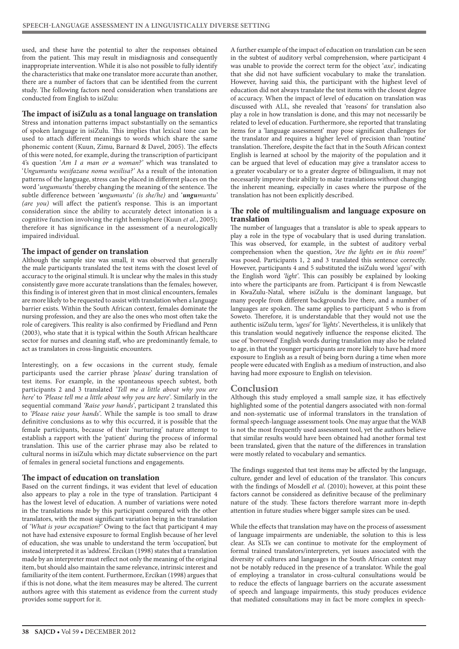used, and these have the potential to alter the responses obtained from the patient. This may result in misdiagnosis and consequently inappropriate intervention. While it is also not possible to fully identify the characteristics that make one translator more accurate than another, there are a number of factors that can be identified from the current study. The following factors need consideration when translations are conducted from English to isiZulu:

### **The impact of isiZulu as a tonal language on translation**

Stress and intonation patterns impact substantially on the semantics of spoken language in isiZulu. This implies that lexical tone can be used to attach different meanings to words which share the same phonemic content (Kuun, Zimu, Barnard & Davel, 2005). The effects of this were noted, for example, during the transcription of participant 4's question '*Am I a man or a woman?'* which was translated to '*Ungumuntu wesifazane noma wesilisa?'* As a result of the intonation patterns of the language, stress can be placed in different places on the word '*ungumuntu'* thereby changing the meaning of the sentence. The subtle difference between '*ungumuntu' (is she/he)* and '*ungumuntu' (are you)* will affect the patient's response. This is an important consideration since the ability to accurately detect intonation is a cognitive function involving the right hemisphere (Kuun *et al*., 2005); therefore it has significance in the assessment of a neurologically impaired individual.

### **The impact of gender on translation**

Although the sample size was small, it was observed that generally the male participants translated the test items with the closest level of accuracy to the original stimuli. It is unclear why the males in this study consistently gave more accurate translations than the females; however, this finding is of interest given that in most clinical encounters, females are more likely to be requested to assist with translation when a language barrier exists. Within the South African context, females dominate the nursing profession, and they are also the ones who most often take the role of caregivers. This reality is also confirmed by Friedland and Penn (2003), who state that it is typical within the South African healthcare sector for nurses and cleaning staff, who are predominantly female, to act as translators in cross-linguistic encounters.

Interestingly, on a few occasions in the current study, female participants used the carrier phrase *'please'* during translation of test items. For example, in the spontaneous speech subtest, both participants 2 and 3 translated *'Tell me a little about why you are here'* to *'Please tell me a little about why you are here'*. Similarly in the sequential command *'Raise your hands'*, participant 2 translated this to *'Please raise your hands'*. While the sample is too small to draw definitive conclusions as to why this occurred, it is possible that the female participants, because of their 'nurturing' nature attempt to establish a rapport with the 'patient' during the process of informal translation. This use of the carrier phrase may also be related to cultural norms in isiZulu which may dictate subservience on the part of females in general societal functions and engagements.

#### **The impact of education on translation**

Based on the current findings, it was evident that level of education also appears to play a role in the type of translation. Participant 4 has the lowest level of education. A number of variations were noted in the translations made by this participant compared with the other translators, with the most significant variation being in the translation of *'What is your occupation?'* Owing to the fact that participant 4 may not have had extensive exposure to formal English because of her level of education, she was unable to understand the term 'occupation', but instead interpreted it as 'address'. Ercikan (1998) states that a translation made by an interpreter must reflect not only the meaning of the original item, but should also maintain the same relevance, intrinsic interest and familiarity of the item content. Furthermore, Ercikan (1998) argues that if this is not done, what the item measures may be altered. The current authors agree with this statement as evidence from the current study provides some support for it.

A further example of the impact of education on translation can be seen in the subtest of auditory verbal comprehension, where participant 4 was unable to provide the correct term for the object '*axe',* indicating that she did not have sufficient vocabulary to make the translation*.*  However, having said this, the participant with the highest level of education did not always translate the test items with the closest degree of accuracy. When the impact of level of education on translation was discussed with ALL, she revealed that 'reasons' for translation also play a role in how translation is done, and this may not necessarily be related to level of education. Furthermore, she reported that translating items for a 'language assessment' may pose significant challenges for the translator and requires a higher level of precision than 'routine' translation. Therefore, despite the fact that in the South African context English is learned at school by the majority of the population and it can be argued that level of education may give a translator access to a greater vocabulary or to a greater degree of bilingualism, it may not necessarily improve their ability to make translations without changing the inherent meaning, especially in cases where the purpose of the translation has not been explicitly described.

### **The role of multilingualism and language exposure on translation**

The number of languages that a translator is able to speak appears to play a role in the type of vocabulary that is used during translation. This was observed, for example, in the subtest of auditory verbal comprehension when the question, *'Are the lights on in this room?'* was posed. Participants 1, 2 and 3 translated this sentence correctly. However, participants 4 and 5 substituted the isiZulu word *'ugesi'* with the English word *'light'*. This can possibly be explained by looking into where the participants are from. Participant 4 is from Newcastle in KwaZulu-Natal, where isiZulu is the dominant language, but many people from different backgrounds live there, and a number of languages are spoken. The same applies to participant 5 who is from Soweto. Therefore, it is understandable that they would not use the authentic isiZulu term, *'ugesi'* for *'lights'*. Nevertheless, it is unlikely that this translation would negatively influence the response elicited. The use of 'borrowed' English words during translation may also be related to age, in that the younger participants are more likely to have had more exposure to English as a result of being born during a time when more people were educated with English as a medium of instruction, and also having had more exposure to English on television.

## **Conclusion**

Although this study employed a small sample size, it has effectively highlighted some of the potential dangers associated with non-formal and non-systematic use of informal translators in the translation of formal speech-language assessment tools. One may argue that the WAB is not the most frequently used assessment tool, yet the authors believe that similar results would have been obtained had another formal test been translated, given that the nature of the differences in translation were mostly related to vocabulary and semantics.

The findings suggested that test items may be affected by the language, culture, gender and level of education of the translator. This concurs with the findings of Mosdell *et al*. (2010); however, at this point these factors cannot be considered as definitive because of the preliminary nature of the study. These factors therefore warrant more in-depth attention in future studies where bigger sample sizes can be used.

While the effects that translation may have on the process of assessment of language impairments are undeniable, the solution to this is less clear. As SLTs we can continue to motivate for the employment of formal trained translators/interpreters, yet issues associated with the diversity of cultures and languages in the South African context may not be notably reduced in the presence of a translator. While the goal of employing a translator in cross-cultural consultations would be to reduce the effects of language barriers on the accurate assessment of speech and language impairments, this study produces evidence that mediated consultations may in fact be more complex in speech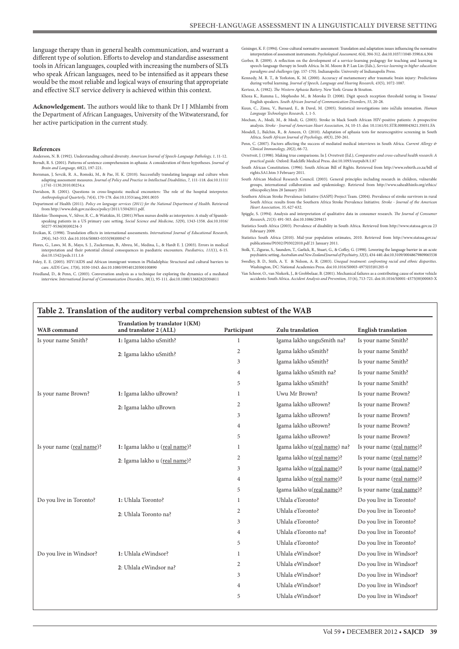language therapy than in general health communication, and warrant a different type of solution. Efforts to develop and standardise assessment tools in African languages, coupled with increasing the numbers of SLTs who speak African languages, need to be intensified as it appears these would be the most reliable and logical ways of ensuring that appropriate and effective SLT service delivery is achieved within this context.

**Acknowledgement.** The authors would like to thank Dr I J Mhlambi from the Department of African Languages, University of the Witwatersrand, for her active participation in the current study.

#### **References**

- Anderson, N. B. (1992). Understanding cultural diversity. *American Journal of Speech-Language Pathology, 1*, 11-12. Berndt, R. S. (2001). Patterns of sentence comprehension in aphasia: A consideration of three hypotheses. *Journal of Brain and Language, 60*(2), 197-221.
- Bornman, J, Sevcik, R. A., Romski, M., & Pae, H. K. (2010). Successfully translating language and culture when<br>| adapting assessment measures. Journal of Policy and Practice in Intellectual Disabilities, 7, 111-118. doi:10  $\frac{1}{2}$ 1741-1130.2010.00254 $\times$
- Davidson, B. (2001). Questions in cross-linguistic medical encounters: The role of the hospital interpreter. *Anthropological Quarterly, 74*(4), 170-178. doi:10.1353/anq.2001.0035
- Department of Health (2011). *Policy on language services (2011) for the National Department of Health*. Retrieved from http://www.doh.gov.za/docs/policy/2011/15042011.pdf.
- Elderkin-Thompson, V., Silver, R. C., & Waitzkin, H. (2001).When nurses double as interpreters: A study of Spanishspeaking patients in a US primary care setting. *Social Science and Medicine, 52*(9), 1343-1358. doi:10.1016/  $\overline{SO277-9536(00)00234-3}$
- Ercikan, K. (1998). Translation effects in international assessments. *International Journal of Educational Research, 29*(4), 543-553. doi:10.1016/S0883-0355(98)00047-0
- Flores, G., Laws, M. B., Mayo, S. J., Zuckerman, B., Abreu, M., Medina, L., & Hardt E. J. (2003). Errors in medical interpretation and their potential clinical consequences in paediatric encounters*. Paediatrics, 111*(1), 6-15. doi:10.1542/peds.111.1.6

Foley, E. E. (2005). HIV/AIDS and African immigrant women in Philadelphia: Structural and cultural barriers to care*. AIDS Care, 17*(8), 1030-1043. doi:10.1080/09540120500100890

Friedland, D., & Penn, C. (2003). Conversation analysis as a technique for exploring the dynamics of a mediated interview. *International Journal of Communication Disorders, 38*(1), 95-111. doi:10.1080/13682820304811

Geisinger, K. F. (1994). Cross-cultural normative assessment: Translation and adaptation issues influencing the normative interpretation of assessment instruments. Psychological Assessment, 6(4), 304-312. doi:10.1037//1040

- Gerber, B. (2009). A reflection on the development of a service-learning pedagogy for teaching and learning in speech-language therapy in South Africa. In M. Moore & P. Lan Lin (Eds.), *Service-learning in higher education: paradigms and challenges* (pp. 157-170). Indianapolis: University of Indianapolis Press.
- Kennedy, M. R. T., & Yorkston, K. M. (2000). Accuracy of metamemory after traumatic brain injury: Predictions during verbal learning. *Journal of Speech, Language and Hearing Research, 43*(5), 1072-1087.
- Kertesz, A. (1982). *The Western Aphasia Battery.* New York: Grune & Stratton. Khoza K., Ramma L., Mophosho M., & Moroka D. (2008). Digit speech reception threshold testing in Tswana/ English speakers. *South African Journal of Communication Disorders*, *55*, 20-28.
- Kuun, C., Zimu, V., Barnard, E., & Davel, M. (2005). Statistical investigations into isiZulu intonation. *Hum Language Technologies Research, 1*, 1-5.
- Mochan, A., Modi, M., & Modi, G. (2003). Stroke in black South African HIV-positive patients: A prospective analysis*. Stroke - Journal of American Heart Association, 34*, 10-15. doi: 10.1161/01.STR.0000043821.35051.FA
- Mosdell, J., Balchin, R., & Ameen, O. (2010). Adaptation of aphasia tests for neurocognitive screening in South Africa. *South African Journal of Psychology, 40*(3), 250-261. Penn, C. (2007). Factors affecting the success of mediated medical interviews in South Africa. *Current Allergy &*
- *Clinical Immunology, 20*(2), 66-72.
- Ovretveit, J. (1998). Making true comparisons. In J. Ovretveit (Ed.), *Comparative and cross-cultural health research: A practical guide.* Oxford: Radcliffe Medical Press. doi:10.1093/eurpub/8.1.87
- South African Constitution. (1996). South African Bill of Rights. Retrieved from http://www.rebirth.co.za/bill of rights.SA1.htm 3 February 2011.
- South African Medical Research Council. (2003). General principles including research in children, vulnerable groups, international collaboration and epidemiology*.* Retrieved from http://www.sahealthinfo.org/ethics/ ethicspolicy.htm 28 January 2011
- Southern African Stroke Prevalence Initiative (SASPI) Project Team. (2004). Prevalence of stroke survivors in rural South Africa: results from the Southern Africa Stroke Prevalence Initiative*. Stroke - Journal of the American Heart Association, 35*, 627-632.
- Spiggle, S. (1994). Analysis and interpretation of qualitative data in consumer research. *The Journal of Consumer Research, 21*(3): 491-503. doi:10.1086/209413
- Statistics South Africa (2003). Prevalence of disability in South Africa*.* Retrieved from http://www.statssa.gov.za 23 February 2009.
- Statistics South Africa (2010). Mid-year population estimates, 2010. Retrieved from http://www.statssa.gov.za/ publications/P0302/P03022010.pdf 21 January 2011.

Stolk, Y., Ziguras, S., Saunders, T., Garlick, R., Stuart, G., & Coffey, G. (1998). Lowering the language barrier in an acute psychiatric setting. *Australian and New Zealand Journal of Psychiatry, 32*(3), 434-440. doi:10.3109/00048679809065538

dley, B. D., Stith, A. Y. & Nelson, A. R. (2003). *Unequal treatment: confronting racial and ethnic disparities.* Washington, DC: National Academies Press. doi:10.1016/S0003-4975(03)01205-0

Van Schoor, O., van Niekerk, J., & Grobbelaar, B. (2001). Mechanical failures as a contributing cause of motor vehicle accidents: South Africa. *Accident Analysis and Prevention, 33* (6), 713-721. doi:10.1016/S0001-4575(00)00083-X

#### **Table 2. Translation of the auditory verbal comprehension subtest of the WAB**

| <b>WAB</b> command        | Translation by translator 1(KM)<br>and translator 2 (ALL) | Participant    | Zulu translation             | <b>English translation</b> |
|---------------------------|-----------------------------------------------------------|----------------|------------------------------|----------------------------|
| Is your name Smith?       | 1: Igama lakho uSmith?                                    | $\mathbf{1}$   | Igama lakho unguSmith na?    | Is your name Smith?        |
|                           | 2: Igama lakho uSmith?                                    | $\mathbf{2}$   | Igama lakho uSmith?          | Is your name Smith?        |
|                           |                                                           | 3              | Igama lakho uSmith?          | Is your name Smith?        |
|                           |                                                           | $\overline{4}$ | Igama lakho uSmith na?       | Is your name Smith?        |
|                           |                                                           | 5              | Igama lakho uSmith?          | Is your name Smith?        |
| Is your name Brown?       | 1: Igama lakho uBrown?                                    | $\mathbf{1}$   | Uwu Mr Brown?                | Is your name Brown?        |
|                           | 2: Igama lakho uBrown                                     | $\overline{2}$ | Igama lakho uBrown?          | Is your name Brown?        |
|                           |                                                           | 3              | Igama lakho uBrown?          | Is your name Brown?        |
|                           |                                                           | $\overline{4}$ | Igama lakho uBrown?          | Is your name Brown?        |
|                           |                                                           | 5              | Igama lakho uBrown?          | Is your name Brown?        |
| Is your name (real name)? | 1: Igama lakho u (real name)?                             | 1              | Igama lakho u(real name) na? | Is your name (real name)?  |
|                           | 2: Igama lakho u (real name)?                             | $\overline{2}$ | Igama lakho u(real name)?    | Is your name (real name)?  |
|                           |                                                           | 3              | Igama lakho u(real name)?    | Is your name (real name)?  |
|                           |                                                           | $\overline{4}$ | Igama lakho u(real name)?    | Is your name (real name)?  |
|                           |                                                           | 5              | Igama lakho u(real name)?    | Is your name (real name)?  |
| Do you live in Toronto?   | 1: Uhlala Toronto?                                        | $\mathbf{1}$   | Uhlala eToronto?             | Do you live in Toronto?    |
|                           | 2: Uhlala Toronto na?                                     | $\overline{2}$ | Uhlala eToronto?             | Do you live in Toronto?    |
|                           |                                                           | 3              | Uhlala eToronto?             | Do you live in Toronto?    |
|                           |                                                           | $\overline{4}$ | Uhlala eToronto na?          | Do you live in Toronto?    |
|                           |                                                           | 5              | Uhlala eToronto?             | Do you live in Toronto?    |
| Do you live in Windsor?   | 1: Uhlala eWindsor?                                       | 1              | Uhlala eWindsor?             | Do you live in Windsor?    |
|                           | 2: Uhlala eWindsor na?                                    | $\overline{2}$ | Uhlala eWindsor?             | Do you live in Windsor?    |
|                           |                                                           | 3              | Uhlala eWindsor?             | Do you live in Windsor?    |
|                           |                                                           | $\overline{4}$ | Uhlala eWindsor?             | Do you live in Windsor?    |
|                           |                                                           | 5              | Uhlala eWindsor?             | Do you live in Windsor?    |
|                           |                                                           |                |                              |                            |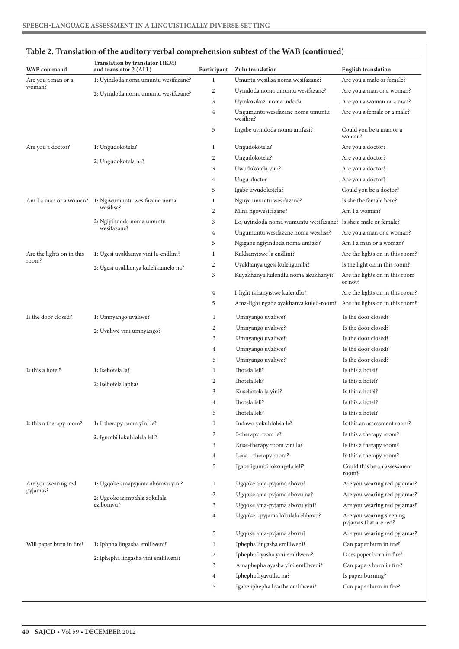| <b>WAB</b> command        | Translation by translator 1(KM)<br>and translator 2 (ALL) |                | Participant Zulu translation                                   | <b>English translation</b>                        |
|---------------------------|-----------------------------------------------------------|----------------|----------------------------------------------------------------|---------------------------------------------------|
| Are you a man or a        | 1: Uyindoda noma umuntu wesifazane?                       | $\mathbf{1}$   | Umuntu wesilisa noma wesifazane?                               | Are you a male or female?                         |
| woman?                    | 2: Uyindoda noma umuntu wesifazane?                       | $\overline{c}$ | Uyindoda noma umuntu wesifazane?                               | Are you a man or a woman?                         |
|                           |                                                           | 3              | Uyinkosikazi noma indoda                                       | Are you a woman or a man?                         |
|                           |                                                           | $\overline{4}$ | Ungumuntu wesifazane noma umuntu<br>wesilisa?                  | Are you a female or a male?                       |
|                           |                                                           | 5              | Ingabe uyindoda noma umfazi?                                   | Could you be a man or a<br>woman?                 |
| Are you a doctor?         | 1: Ungudokotela?                                          | 1              | Ungudokotela?                                                  | Are you a doctor?                                 |
|                           | 2: Ungudokotela na?                                       | $\overline{2}$ | Ungudokotela?                                                  | Are you a doctor?                                 |
|                           |                                                           | 3              | Uwudokotela yini?                                              | Are you a doctor?                                 |
|                           |                                                           | $\overline{4}$ | Ungu-doctor                                                    | Are you a doctor?                                 |
|                           |                                                           | 5              | Igabe uwudokotela?                                             | Could you be a doctor?                            |
|                           | Am I a man or a woman? 1: Ngiwumuntu wesifazane noma      | $\mathbf{1}$   | Nguye umuntu wesifazane?                                       | Is she the female here?                           |
|                           | wesilisa?                                                 | $\overline{2}$ | Mina ngowesifazane?                                            | Am I a woman?                                     |
|                           | 2: Ngiyindoda noma umuntu                                 | 3              | Lo, uyindoda noma wumuntu wesifazane? Is she a male or female? |                                                   |
|                           | wesifazane?                                               | $\overline{4}$ | Ungumuntu wesifazane noma wesilisa?                            | Are you a man or a woman?                         |
|                           |                                                           | 5              | Ngigabe ngiyindoda noma umfazi?                                | Am I a man or a woman?                            |
| Are the lights on in this | 1: Ugesi uyakhanya yini la-endlini?                       | $\mathbf{1}$   | Kukhanyiswe la endlini?                                        | Are the lights on in this room?                   |
| room?                     | 2: Ugesi uyakhanya kulelikamelo na?                       | $\mathbf{2}$   | Uyakhanya ugesi kuleligumbi?                                   | Is the light on in this room?                     |
|                           |                                                           | 3              | Kuyakhanya kulendlu noma akukhanyi?                            | Are the lights on in this room<br>or not?         |
|                           |                                                           | $\overline{4}$ | I-light ikhanyisiwe kulendlu?                                  | Are the lights on in this room?                   |
|                           |                                                           | 5              | Ama-light ngabe ayakhanya kuleli-room?                         | Are the lights on in this room?                   |
| Is the door closed?       | 1: Umnyango uvaliwe?                                      | 1              | Umnyango uvaliwe?                                              | Is the door closed?                               |
|                           | 2: Uvaliwe yini umnyango?                                 | $\mathbf{2}$   | Umnyango uvaliwe?                                              | Is the door closed?                               |
|                           |                                                           | 3              | Umnyango uvaliwe?                                              | Is the door closed?                               |
|                           |                                                           | $\overline{4}$ | Umnyango uvaliwe?                                              | Is the door closed?                               |
|                           |                                                           | 5              | Umnyango uvaliwe?                                              | Is the door closed?                               |
| Is this a hotel?          | 1: Isehotela la?                                          | $\mathbf{1}$   | Ihotela leli?                                                  | Is this a hotel?                                  |
|                           | 2: Isehotela lapha?                                       | $\overline{2}$ | Ihotela leli?                                                  | Is this a hotel?                                  |
|                           |                                                           | 3              | Kusehotela la yini?                                            | Is this a hotel?                                  |
|                           |                                                           | $\,4$          | Ihotela leli?                                                  | Is this a hotel?                                  |
|                           |                                                           | 5              | Ihotela leli?                                                  | Is this a hotel?                                  |
| Is this a therapy room?   | 1: I-therapy room yini le?                                | 1              | Indawo yokuhlolela le?                                         | Is this an assessment room?                       |
|                           | 2: Igumbi lokuhlolela leli?                               | $\overline{2}$ | I-therapy room le?                                             | Is this a therapy room?                           |
|                           |                                                           | $\mathfrak z$  | Kuse-therapy room yini la?                                     | Is this a therapy room?                           |
|                           |                                                           | $\overline{4}$ | Lena i-therapy room?                                           | Is this a therapy room?                           |
|                           |                                                           | 5              | Igabe igumbi lokongela leli?                                   | Could this be an assessment<br>room?              |
| Are you wearing red       | 1: Ugqoke amapyjama abomvu yini?                          | 1              | Ugqoke ama-pyjama abovu?                                       | Are you wearing red pyjamas?                      |
| pyjamas?                  | 2: Ugqoke izimpahla zokulala                              | 2              | Ugqoke ama-pyjama abovu na?                                    | Are you wearing red pyjamas?                      |
|                           | ezibomvu?                                                 | $\mathfrak{Z}$ | Ugqoke ama-pyjama abovu yini?                                  | Are you wearing red pyjamas?                      |
|                           |                                                           | $\overline{4}$ | Ugqoke i-pyjama lokulala elibovu?                              | Are you wearing sleeping<br>pyjamas that are red? |
|                           |                                                           | 5              | Ugqoke ama-pyjama abovu?                                       | Are you wearing red pyjamas?                      |
| Will paper burn in fire?  | 1: Iphpha lingasha emlilweni?                             | 1              | Iphepha lingasha emlilweni?                                    | Can paper burn in fire?                           |
|                           | 2: Iphepha lingasha yini emlilweni?                       | $\overline{2}$ | Iphepha liyasha yini emlilweni?                                | Does paper burn in fire?                          |
|                           |                                                           | $\mathfrak z$  | Amaphepha ayasha yini emlilweni?                               | Can papers burn in fire?                          |
|                           |                                                           | $\,4$          | Iphepha liyavutha na?                                          | Is paper burning?                                 |
|                           |                                                           | 5              | Igabe iphepha liyasha emlilweni?                               | Can paper burn in fire?                           |

## **Table 2. Translation of the auditory verbal comprehension subtest of the WAB (continued)**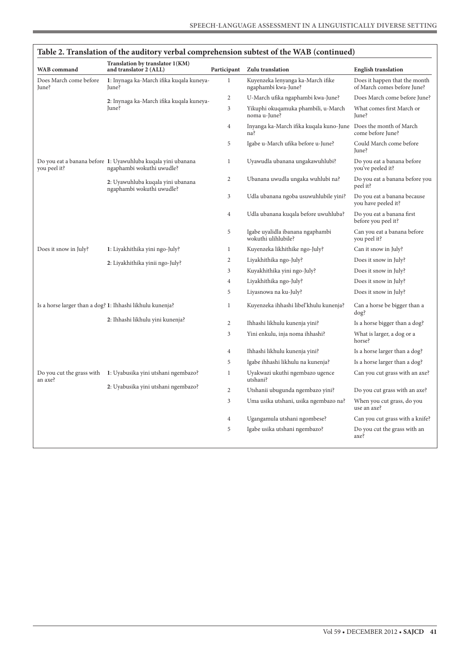| <b>WAB</b> command                                        | Translation by translator 1(KM)<br>and translator 2 (ALL)                                 | Participant    | Zulu translation                                         | <b>English translation</b>                                   |
|-----------------------------------------------------------|-------------------------------------------------------------------------------------------|----------------|----------------------------------------------------------|--------------------------------------------------------------|
| Does March come before<br>June?                           | 1: Inynaga ka-March ifika kuqala kuneya-<br>June?                                         | $\mathbf{1}$   | Kuyenzeka lenyanga ka-March ifike<br>ngaphambi kwa-June? | Does it happen that the month<br>of March comes before June? |
|                                                           | 2: Inynaga ka-March ifika kuqala kuneya-<br>June?                                         | $\overline{2}$ | U-March ufika ngaphambi kwa-June?                        | Does March come before June?                                 |
|                                                           |                                                                                           | $\mathfrak{Z}$ | Yikuphi okuqamuka phambili, u-March<br>noma u-June?      | What comes first March or<br>June?                           |
|                                                           |                                                                                           | $\overline{4}$ | Inyanga ka-March ifika kuqala kuno-June<br>na?           | Does the month of March<br>come before June?                 |
|                                                           |                                                                                           | 5              | Igabe u-March ufika before u-June?                       | Could March come before<br>June?                             |
| you peel it?                                              | Do you eat a banana before 1: Uyawuhluba kuqala yini ubanana<br>ngaphambi wokuthi uwudle? | $\mathbf{1}$   | Uyawudla ubanana ungakawuhlubi?                          | Do you eat a banana before<br>you've peeled it?              |
|                                                           | 2: Uyawuhluba kuqala yini ubanana<br>ngaphambi wokuthi uwudle?                            | $\mathbf{2}$   | Ubanana uwudla ungaka wuhlubi na?                        | Do you eat a banana before you<br>peel it?                   |
|                                                           |                                                                                           | $\mathfrak{Z}$ | Udla ubanana ngoba usuwuhlubile yini?                    | Do you eat a banana because<br>you have peeled it?           |
|                                                           |                                                                                           | $\overline{4}$ | Udla ubanana kuqala before uwuhluba?                     | Do you eat a banana first<br>before you peel it?             |
|                                                           |                                                                                           | 5              | Igabe uyalidla ibanana ngaphambi<br>wokuthi ulihlubile?  | Can you eat a banana before<br>you peel it?                  |
| Does it snow in July?                                     | 1: Liyakhithika yini ngo-July?                                                            | $\mathbf{1}$   | Kuyenzeka likhithike ngo-July?                           | Can it snow in July?                                         |
|                                                           | 2: Liyakhithika yinii ngo-July?                                                           | $\overline{2}$ | Liyakhithika ngo-July?                                   | Does it snow in July?                                        |
|                                                           |                                                                                           | $\overline{3}$ | Kuyakhithika yini ngo-July?                              | Does it snow in July?                                        |
|                                                           |                                                                                           | $\overline{4}$ | Liyakhithika ngo-July?                                   | Does it snow in July?                                        |
|                                                           |                                                                                           | 5              | Liyasnowa na ku-July?                                    | Does it snow in July?                                        |
| Is a horse larger than a dog? 1: Ihhashi likhulu kunenja? |                                                                                           | $\mathbf{1}$   | Kuyenzeka ihhashi libel'khulu kunenja?                   | Can a horse be bigger than a<br>dog?                         |
|                                                           | 2: Ihhashi likhulu yini kunenja?                                                          | $\overline{2}$ | Ihhashi likhulu kunenja yini?                            | Is a horse bigger than a dog?                                |
|                                                           |                                                                                           | $\mathfrak{Z}$ | Yini enkulu, inja noma ihhashi?                          | What is larger, a dog or a<br>horse?                         |
|                                                           |                                                                                           | $\overline{4}$ | Ihhashi likhulu kunenja yini?                            | Is a horse larger than a dog?                                |
|                                                           |                                                                                           | 5              | Igabe ihhashi likhulu na kunenja?                        | Is a horse larger than a dog?                                |
| Do you cut the grass with<br>an axe?                      | 1: Uyabusika yini utshani ngembazo?                                                       | $\mathbf{1}$   | Uyakwazi ukuthi ngembazo ugence<br>utshani?              | Can you cut grass with an axe?                               |
|                                                           | 2: Uyabusika yini utshani ngembazo?                                                       | $\mathbf{2}$   | Utshanii ubugunda ngembazo yini?                         | Do you cut grass with an axe?                                |
|                                                           |                                                                                           | 3              | Uma usika utshani, usika ngembazo na?                    | When you cut grass, do you<br>use an axe?                    |
|                                                           |                                                                                           | $\overline{4}$ | Ugangamula utshani ngombese?                             | Can you cut grass with a knife?                              |
|                                                           |                                                                                           | 5              | Igabe usika utshani ngembazo?                            | Do you cut the grass with an<br>axe?                         |

## **Table 2. Translation of the auditory verbal comprehension subtest of the WAB (continued)**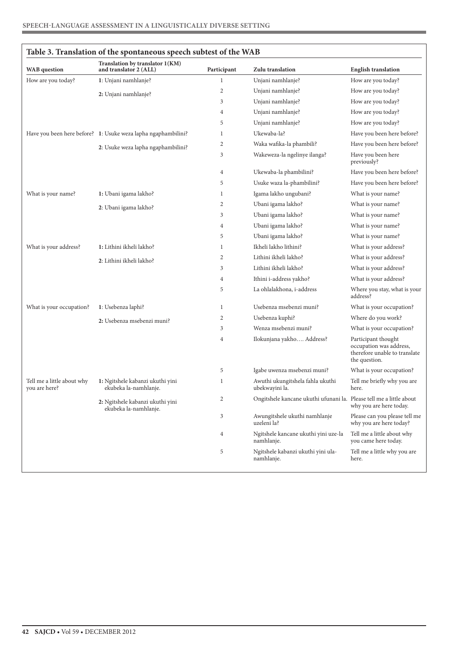| <b>WAB</b> question                         | Translation by translator 1(KM)<br>and translator 2 (ALL)     | Participant    | Zulu translation                                                    | <b>English translation</b>                                                                       |
|---------------------------------------------|---------------------------------------------------------------|----------------|---------------------------------------------------------------------|--------------------------------------------------------------------------------------------------|
| How are you today?                          | 1: Unjani namhlanje?                                          | $\mathbf{1}$   | Unjani namhlanje?                                                   | How are you today?                                                                               |
|                                             | 2: Unjani namhlanje?                                          | 2              | Unjani namhlanje?                                                   | How are you today?                                                                               |
|                                             |                                                               | 3              | Unjani namhlanje?                                                   | How are you today?                                                                               |
|                                             |                                                               | 4              | Unjani namhlanje?                                                   | How are you today?                                                                               |
|                                             |                                                               | 5              | Unjani namhlanje?                                                   | How are you today?                                                                               |
|                                             | Have you been here before? 1: Usuke weza lapha ngaphambilini? | 1              | Ukewaba-la?                                                         | Have you been here before?                                                                       |
|                                             | 2: Usuke weza lapha ngaphambilini?                            | 2              | Waka wafika-la phambili?                                            | Have you been here before?                                                                       |
|                                             |                                                               | 3              | Wakeweza-la ngelinye ilanga?                                        | Have you been here<br>previously?                                                                |
|                                             |                                                               | 4              | Ukewaba-la phambilini?                                              | Have you been here before?                                                                       |
|                                             |                                                               | 5              | Usuke waza la-phambilini?                                           | Have you been here before?                                                                       |
| What is your name?                          | 1: Ubani igama lakho?                                         | 1              | Igama lakho ungubani?                                               | What is your name?                                                                               |
|                                             | 2: Ubani igama lakho?                                         | 2              | Ubani igama lakho?                                                  | What is your name?                                                                               |
|                                             |                                                               | 3              | Ubani igama lakho?                                                  | What is your name?                                                                               |
|                                             |                                                               | 4              | Ubani igama lakho?                                                  | What is your name?                                                                               |
|                                             |                                                               | 5              | Ubani igama lakho?                                                  | What is your name?                                                                               |
| What is your address?                       | 1: Lithini ikheli lakho?                                      | 1              | Ikheli lakho lithini?                                               | What is your address?                                                                            |
|                                             | 2: Lithini ikheli lakho?                                      | 2              | Lithini ikheli lakho?                                               | What is your address?                                                                            |
|                                             |                                                               | 3              | Lithini ikheli lakho?                                               | What is your address?                                                                            |
|                                             |                                                               | 4              | Ithini i-address yakho?                                             | What is your address?                                                                            |
|                                             |                                                               | 5              | La ohlalakhona, i-address                                           | Where you stay, what is your<br>address?                                                         |
| What is your occupation?                    | 1: Usebenza laphi?                                            | 1              | Usebenza msebenzi muni?                                             | What is your occupation?                                                                         |
|                                             | 2: Usebenza msebenzi muni?                                    | 2              | Usebenza kuphi?                                                     | Where do you work?                                                                               |
|                                             |                                                               | 3              | Wenza msebenzi muni?                                                | What is your occupation?                                                                         |
|                                             |                                                               | $\overline{4}$ | Ilokunjana yakho Address?                                           | Participant thought<br>occupation was address,<br>therefore unable to translate<br>the question. |
|                                             |                                                               | 5              | Igabe uwenza msebenzi muni?                                         | What is your occupation?                                                                         |
| Tell me a little about why<br>you are here? | 1: Ngitshele kabanzi ukuthi yini<br>ekubeka la-namhlanje.     | 1              | Awuthi ukungitshela fahla ukuthi<br>ubekwayini la.                  | Tell me briefly why you are<br>here.                                                             |
|                                             | 2: Ngitshele kabanzi ukuthi yini<br>ekubeka la-namhlanje.     | $\overline{c}$ | Ongitshele kancane ukuthi ufunani la. Please tell me a little about | why you are here today.                                                                          |
|                                             |                                                               | 3              | Awungitshele ukuthi namhlanje<br>uzeleni la?                        | Please can you please tell me<br>why you are here today?                                         |
|                                             |                                                               | 4              | Ngitshele kancane ukuthi yini uze-la<br>namhlanje.                  | Tell me a little about why<br>you came here today.                                               |
|                                             |                                                               | 5              | Ngitshele kabanzi ukuthi yini ula-<br>namhlanje.                    | Tell me a little why you are<br>here.                                                            |

# **Table 3. Translation of the spontaneous speech subtest of the WAB**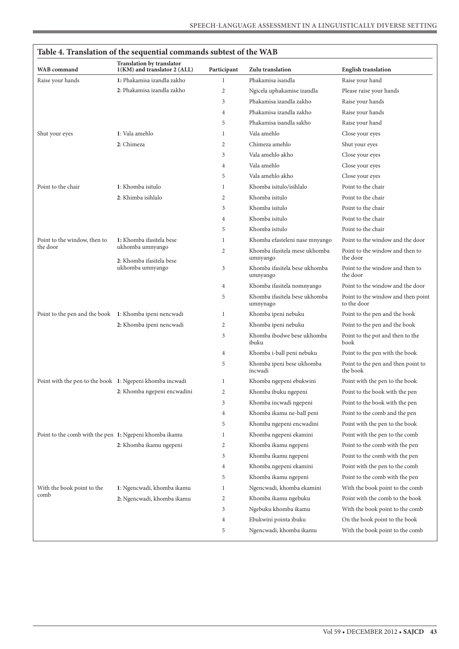| <b>WAB</b> command                                       | <b>Translation by translator</b><br>1(KM) and translator 2 (ALL) | Participant    | Zulu translation                          | <b>English translation</b>                        |
|----------------------------------------------------------|------------------------------------------------------------------|----------------|-------------------------------------------|---------------------------------------------------|
| Raise your hands                                         | 1: Phakamisa izandla zakho                                       | $\mathbf{1}$   | Phakamisa isandla                         | Raise your hand                                   |
|                                                          | 2: Phakamisa izandla zakho                                       | 2              | Ngicela uphakamise izandla                | Please raise your hands                           |
|                                                          |                                                                  | 3              | Phakamisa izandla zakho                   | Raise your hands                                  |
|                                                          |                                                                  | 4              | Phakamisa izandla zakho                   | Raise your hands                                  |
|                                                          |                                                                  | 5              | Phakamisa isandla sakho                   | Raise your hand                                   |
| Shut your eyes                                           | 1: Vala amehlo                                                   | 1              | Vala amehlo                               | Close your eyes                                   |
|                                                          | 2: Chimeza                                                       | 2              | Chimeza amehlo                            | Shut your eyes                                    |
|                                                          |                                                                  | 3              | Vala amehlo akho                          | Close your eyes                                   |
|                                                          |                                                                  | 4              | Vala amehlo                               | Close your eyes                                   |
|                                                          |                                                                  | 5              | Vala amehlo akho                          | Close your eyes                                   |
| Point to the chair                                       | 1: Khomba isitulo                                                | $\mathbf{1}$   | Khomba isitulo/isihlalo                   | Point to the chair                                |
|                                                          | 2: Khimba isihlalo                                               | $\overline{2}$ | Khomba isitulo                            | Point to the chair                                |
|                                                          |                                                                  | 3              | Khomba isitulo                            | Point to the chair                                |
|                                                          |                                                                  | 4              | Khomba isitulo                            | Point to the chair                                |
|                                                          |                                                                  | 5              | Khomba isitulo                            | Point to the chair                                |
| Point to the window, then to                             | 1: Khomba ifasitela bese                                         | $\mathbf{1}$   | Khomba efasteleni nase mnyango            | Point to the window and the door                  |
| the door                                                 | ukhomba umnyango<br>2: Khomba ifasitela bese<br>ukhomba umnyango | 2              | Khomba ifasitela mese ukhomba<br>umnyango | Point to the window and then to<br>the door       |
|                                                          |                                                                  | 3              | Khomba ifasitela bese ukhomba<br>umnyango | Point to the window and then to<br>the door       |
|                                                          |                                                                  | 4              | Khomba ifasitela nomnyango                | Point to the window and the door                  |
|                                                          |                                                                  | 5              | Khomba ifasitela bese ukhomba<br>umnynago | Point to the window and then point<br>to the door |
| Point to the pen and the book 1: Khomba ipeni nencwadi   |                                                                  | $\mathbf{1}$   | Khomba ipeni nebuku                       | Point to the pen and the book                     |
|                                                          | 2: Khomba ipeni nencwadi                                         | 2              | Khomba ipeni nebuku                       | Point to the pen and the book                     |
|                                                          |                                                                  | 3              | Khomba ibodwe bese ukhomba<br>ibuku       | Point to the pot and then to the<br>book          |
|                                                          |                                                                  | 4              | Khomba i-ball peni nebuku                 | Point to the pen with the book                    |
|                                                          |                                                                  | 5              | Khomba ipeni bese ukhomba<br>incwadi      | Point to the pen and then point to<br>the book    |
| Point with the pen to the book 1: Ngepeni khomba incwadi |                                                                  | 1              | Khomba ngepeni ebukwini                   | Point with the pen to the book                    |
|                                                          | 2: Khomba ngepeni encwadini                                      | $\overline{2}$ | Khomba ibuku ngepeni                      | Point to the book with the pen                    |
|                                                          |                                                                  | 3              | Khomba incwadi ngepeni                    | Point to the book with the pen                    |
|                                                          |                                                                  | 4              | Khomba ikamu ne-ball peni                 | Point to the comb and the pen                     |
|                                                          |                                                                  | 5              | Khomba ngepeni encwadini                  | Point with the pen to the book                    |
| Point to the comb with the pen 1: Ngepeni khomba ikamu   |                                                                  | 1              | Khomba ngepeni ekamini                    | Point with the pen to the comb                    |
|                                                          | 2: Khomba ikamu ngepeni                                          | 2              | Khomba ikamu ngepeni                      | Point to the comb with the pen                    |
|                                                          |                                                                  | 3              | Khomba ikamu ngepeni                      | Point to the comb with the pen                    |
|                                                          |                                                                  | 4              | Khomba ngepeni ekamini                    | Point with the pen to the comb                    |
|                                                          |                                                                  | 5              | Khomba ikamu ngepeni                      | Point to the comb with the pen                    |
| With the book point to the                               | 1: Ngencwadi, khomba ikamu                                       | 1              | Ngencwadi, khomba ekamini                 | With the book point to the comb                   |
| comb                                                     | 2: Ngencwadi, khomba ikamu                                       | 2              | Khomba ikamu ngebuku                      | Point with the comb to the book                   |
|                                                          |                                                                  | 3              | Ngebuku khomba ikamu                      | With the book point to the comb                   |
|                                                          |                                                                  | $\overline{4}$ | Ebukwini pointa ibuku                     | On the book point to the book                     |
|                                                          |                                                                  | 5              | Ngencwadi, khomba ikamu                   | With the book point to the comb                   |

#### **Table 4. Translation of the sequential commands subtest of the WAB**